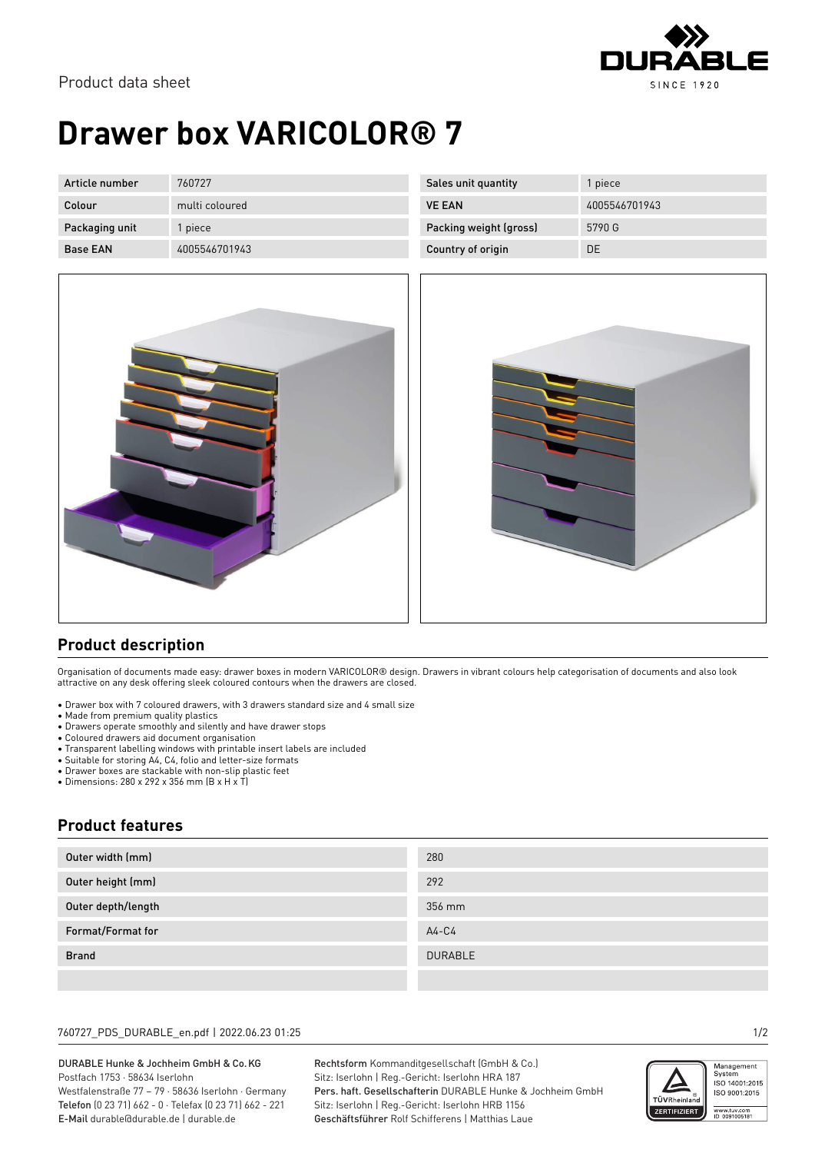

# **Drawer box VARICOLOR® 7**

| Article number  | 760727         | Sales unit quantity    | piece         |
|-----------------|----------------|------------------------|---------------|
| Colour          | multi coloured | <b>VE EAN</b>          | 4005546701943 |
| Packaging unit  | piece          | Packing weight (gross) | 5790 G        |
| <b>Base EAN</b> | 4005546701943  | Country of origin      | DE            |





### **Product description**

Organisation of documents made easy: drawer boxes in modern VARICOLOR® design. Drawers in vibrant colours help categorisation of documents and also look attractive on any desk offering sleek coloured contours when the drawers are closed.

- Drawer box with 7 coloured drawers, with 3 drawers standard size and 4 small size
- Made from premium quality plastics
- Drawers operate smoothly and silently and have drawer stops
- Coloured drawers aid document organisation
- Transparent labelling windows with printable insert labels are included
- Suitable for storing A4, C4, folio and letter-size formats
- Drawer boxes are stackable with non-slip plastic feet
- Dimensions: 280 x 292 x 356 mm (B x H x T)

### **Product features**

| Outer width (mm)   | 280            |
|--------------------|----------------|
| Outer height (mm)  | 292            |
| Outer depth/length | 356 mm         |
| Format/Format for  | $A4-C4$        |
| <b>Brand</b>       | <b>DURABLE</b> |
|                    |                |

#### 760727\_PDS\_DURABLE\_en.pdf | 2022.06.23 01:25 1/2

#### DURABLE Hunke & Jochheim GmbH & Co.KG Postfach 1753 · 58634 Iserlohn Westfalenstraße 77 – 79 · 58636 Iserlohn · Germany Telefon (0 23 71) 662 - 0 · Telefax (0 23 71) 662 - 221

E-Mail durable@durable.de | durable.de

Rechtsform Kommanditgesellschaft (GmbH & Co.) Sitz: Iserlohn | Reg.-Gericht: Iserlohn HRA 187 Pers. haft. Gesellschafterin DURABLE Hunke & Jochheim GmbH Sitz: Iserlohn | Reg.-Gericht: Iserlohn HRB 1156 Geschäftsführer Rolf Schifferens | Matthias Laue